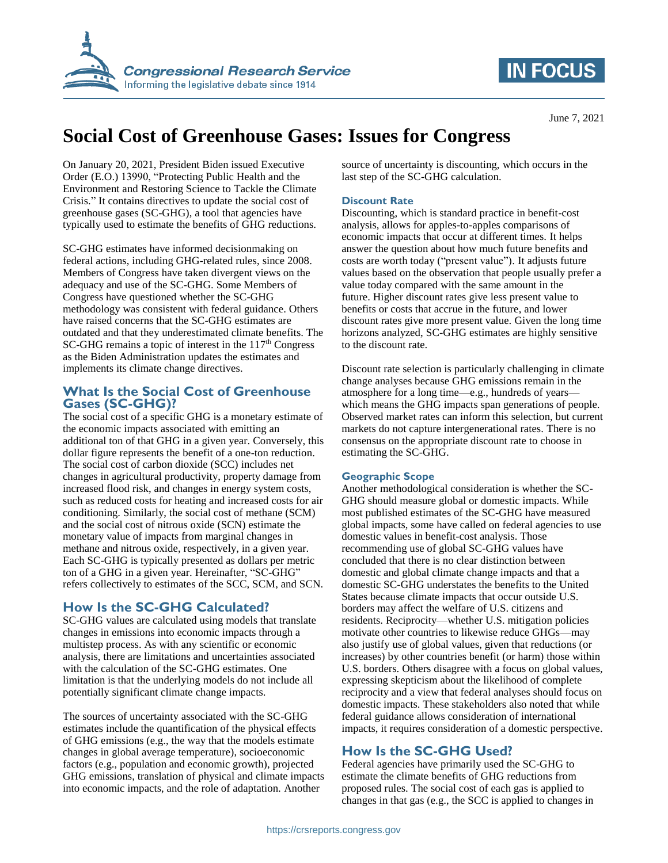

# **IN FOCUS**

# **Social Cost of Greenhouse Gases: Issues for Congress**

On January 20, 2021, President Biden issued Executive Order (E.O.) 13990, "Protecting Public Health and the Environment and Restoring Science to Tackle the Climate Crisis." It contains directives to update the social cost of greenhouse gases (SC-GHG), a tool that agencies have typically used to estimate the benefits of GHG reductions.

SC-GHG estimates have informed decisionmaking on federal actions, including GHG-related rules, since 2008. Members of Congress have taken divergent views on the adequacy and use of the SC-GHG. Some Members of Congress have questioned whether the SC-GHG methodology was consistent with federal guidance. Others have raised concerns that the SC-GHG estimates are outdated and that they underestimated climate benefits. The  $SC-GHG$  remains a topic of interest in the  $117<sup>th</sup>$  Congress as the Biden Administration updates the estimates and implements its climate change directives.

#### **What Is the Social Cost of Greenhouse Gases (SC-GHG)?**

The social cost of a specific GHG is a monetary estimate of the economic impacts associated with emitting an additional ton of that GHG in a given year. Conversely, this dollar figure represents the benefit of a one-ton reduction. The social cost of carbon dioxide (SCC) includes net changes in agricultural productivity, property damage from increased flood risk, and changes in energy system costs, such as reduced costs for heating and increased costs for air conditioning. Similarly, the social cost of methane (SCM) and the social cost of nitrous oxide (SCN) estimate the monetary value of impacts from marginal changes in methane and nitrous oxide, respectively, in a given year. Each SC-GHG is typically presented as dollars per metric ton of a GHG in a given year. Hereinafter, "SC-GHG" refers collectively to estimates of the SCC, SCM, and SCN.

#### **How Is the SC-GHG Calculated?**

SC-GHG values are calculated using models that translate changes in emissions into economic impacts through a multistep process. As with any scientific or economic analysis, there are limitations and uncertainties associated with the calculation of the SC-GHG estimates. One limitation is that the underlying models do not include all potentially significant climate change impacts.

The sources of uncertainty associated with the SC-GHG estimates include the quantification of the physical effects of GHG emissions (e.g., the way that the models estimate changes in global average temperature), socioeconomic factors (e.g., population and economic growth), projected GHG emissions, translation of physical and climate impacts into economic impacts, and the role of adaptation. Another

source of uncertainty is discounting, which occurs in the last step of the SC-GHG calculation.

#### **Discount Rate**

Discounting, which is standard practice in benefit-cost analysis, allows for apples-to-apples comparisons of economic impacts that occur at different times. It helps answer the question about how much future benefits and costs are worth today ("present value"). It adjusts future values based on the observation that people usually prefer a value today compared with the same amount in the future. Higher discount rates give less present value to benefits or costs that accrue in the future, and lower discount rates give more present value. Given the long time horizons analyzed, SC-GHG estimates are highly sensitive to the discount rate.

Discount rate selection is particularly challenging in climate change analyses because GHG emissions remain in the atmosphere for a long time—e.g., hundreds of years which means the GHG impacts span generations of people. Observed market rates can inform this selection, but current markets do not capture intergenerational rates. There is no consensus on the appropriate discount rate to choose in estimating the SC-GHG.

#### **Geographic Scope**

Another methodological consideration is whether the SC-GHG should measure global or domestic impacts. While most published estimates of the SC-GHG have measured global impacts, some have called on federal agencies to use domestic values in benefit-cost analysis. Those recommending use of global SC-GHG values have concluded that there is no clear distinction between domestic and global climate change impacts and that a domestic SC-GHG understates the benefits to the United States because climate impacts that occur outside U.S. borders may affect the welfare of U.S. citizens and residents. Reciprocity—whether U.S. mitigation policies motivate other countries to likewise reduce GHGs—may also justify use of global values, given that reductions (or increases) by other countries benefit (or harm) those within U.S. borders. Others disagree with a focus on global values, expressing skepticism about the likelihood of complete reciprocity and a view that federal analyses should focus on domestic impacts. These stakeholders also noted that while federal guidance allows consideration of international impacts, it requires consideration of a domestic perspective.

#### **How Is the SC-GHG Used?**

Federal agencies have primarily used the SC-GHG to estimate the climate benefits of GHG reductions from proposed rules. The social cost of each gas is applied to changes in that gas (e.g., the SCC is applied to changes in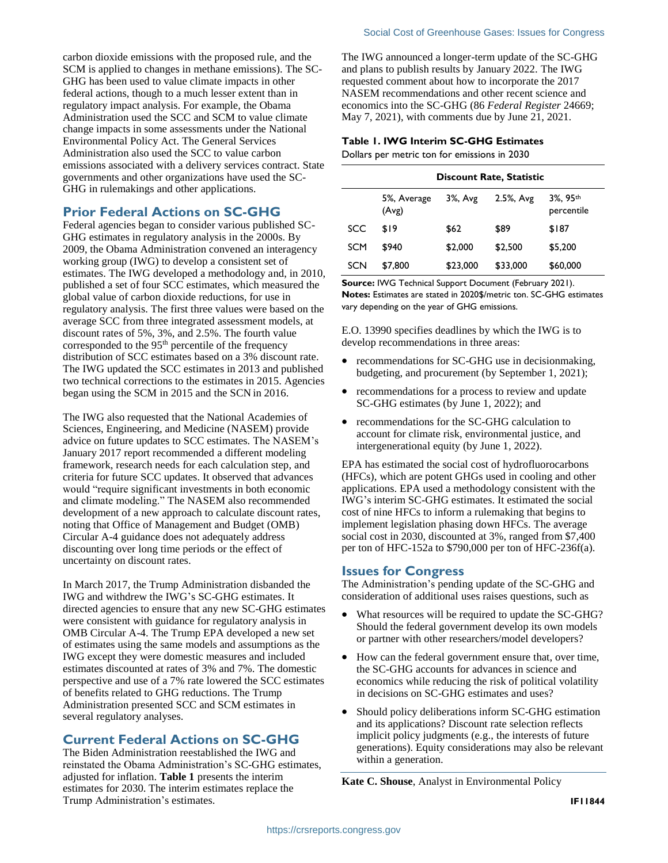carbon dioxide emissions with the proposed rule, and the SCM is applied to changes in methane emissions). The SC-GHG has been used to value climate impacts in other federal actions, though to a much lesser extent than in regulatory impact analysis. For example, the Obama Administration used the SCC and SCM to value climate change impacts in some assessments under the National Environmental Policy Act. The General Services Administration also used the SCC to value carbon emissions associated with a delivery services contract. State governments and other organizations have used the SC-GHG in rulemakings and other applications.

#### **Prior Federal Actions on SC-GHG**

Federal agencies began to consider various published SC-GHG estimates in regulatory analysis in the 2000s. By 2009, the Obama Administration convened an interagency working group (IWG) to develop a consistent set of estimates. The IWG developed a methodology and, in 2010, published a set of four SCC estimates, which measured the global value of carbon dioxide reductions, for use in regulatory analysis. The first three values were based on the average SCC from three integrated assessment models, at discount rates of 5%, 3%, and 2.5%. The fourth value corresponded to the 95<sup>th</sup> percentile of the frequency distribution of SCC estimates based on a 3% discount rate. The IWG updated the SCC estimates in 2013 and published two technical corrections to the estimates in 2015. Agencies began using the SCM in 2015 and the SCN in 2016.

The IWG also requested that the National Academies of Sciences, Engineering, and Medicine (NASEM) provide advice on future updates to SCC estimates. The NASEM's January 2017 report recommended a different modeling framework, research needs for each calculation step, and criteria for future SCC updates. It observed that advances would "require significant investments in both economic and climate modeling." The NASEM also recommended development of a new approach to calculate discount rates, noting that Office of Management and Budget (OMB) Circular A-4 guidance does not adequately address discounting over long time periods or the effect of uncertainty on discount rates.

In March 2017, the Trump Administration disbanded the IWG and withdrew the IWG's SC-GHG estimates. It directed agencies to ensure that any new SC-GHG estimates were consistent with guidance for regulatory analysis in OMB Circular A-4. The Trump EPA developed a new set of estimates using the same models and assumptions as the IWG except they were domestic measures and included estimates discounted at rates of 3% and 7%. The domestic perspective and use of a 7% rate lowered the SCC estimates of benefits related to GHG reductions. The Trump Administration presented SCC and SCM estimates in several regulatory analyses.

#### **Current Federal Actions on SC-GHG**

The Biden Administration reestablished the IWG and reinstated the Obama Administration's SC-GHG estimates, adjusted for inflation. **[Table 1](#page-1-0)** presents the interim estimates for 2030. The interim estimates replace the Trump Administration's estimates.

The IWG announced a longer-term update of the SC-GHG and plans to publish results by January 2022. The IWG requested comment about how to incorporate the 2017 NASEM recommendations and other recent science and economics into the SC-GHG (86 *Federal Register* 24669; May 7, 2021), with comments due by June 21, 2021.

### <span id="page-1-0"></span>**Table 1. IWG Interim SC-GHG Estimates**

Dollars per metric ton for emissions in 2030

|     | <b>Discount Rate, Statistic</b> |          |           |                        |
|-----|---------------------------------|----------|-----------|------------------------|
|     | 5%, Average<br>(Avg)            | 3%, Avg  | 2.5%, Avg | 3%, 95th<br>percentile |
| SCC | \$19                            | \$62     | \$89      | \$187                  |
| SCM | \$940                           | \$2,000  | \$2,500   | \$5,200                |
| SCN | \$7,800                         | \$23,000 | \$33,000  | \$60,000               |

**Source:** IWG Technical Support Document (February 2021).

**Notes:** Estimates are stated in 2020\$/metric ton. SC-GHG estimates vary depending on the year of GHG emissions.

E.O. 13990 specifies deadlines by which the IWG is to develop recommendations in three areas:

- recommendations for SC-GHG use in decision making, budgeting, and procurement (by September 1, 2021);
- recommendations for a process to review and update SC-GHG estimates (by June 1, 2022); and
- recommendations for the SC-GHG calculation to account for climate risk, environmental justice, and intergenerational equity (by June 1, 2022).

EPA has estimated the social cost of hydrofluorocarbons (HFCs), which are potent GHGs used in cooling and other applications. EPA used a methodology consistent with the IWG's interim SC-GHG estimates. It estimated the social cost of nine HFCs to inform a rulemaking that begins to implement legislation phasing down HFCs. The average social cost in 2030, discounted at 3%, ranged from \$7,400 per ton of HFC-152a to \$790,000 per ton of HFC-236f(a).

#### **Issues for Congress**

The Administration's pending update of the SC-GHG and consideration of additional uses raises questions, such as

- What resources will be required to update the SC-GHG? Should the federal government develop its own models or partner with other researchers/model developers?
- How can the federal government ensure that, over time, the SC-GHG accounts for advances in science and economics while reducing the risk of political volatility in decisions on SC-GHG estimates and uses?
- Should policy deliberations inform SC-GHG estimation and its applications? Discount rate selection reflects implicit policy judgments (e.g., the interests of future generations). Equity considerations may also be relevant within a generation.

**Kate C. Shouse**, Analyst in Environmental Policy